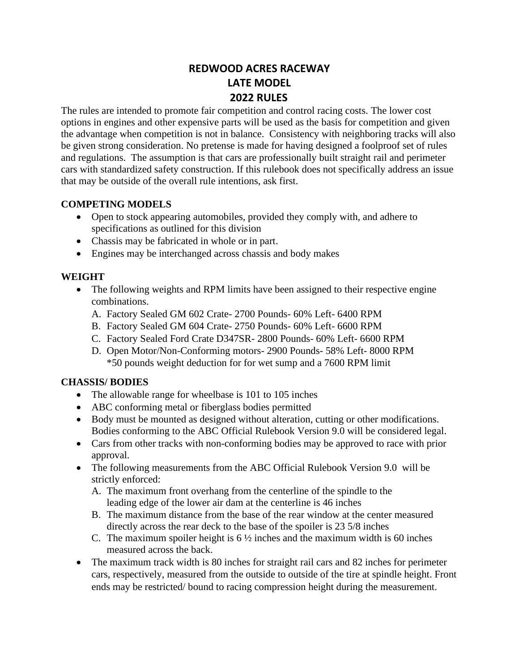# **REDWOOD ACRES RACEWAY LATE MODEL 2022 RULES**

The rules are intended to promote fair competition and control racing costs. The lower cost options in engines and other expensive parts will be used as the basis for competition and given the advantage when competition is not in balance. Consistency with neighboring tracks will also be given strong consideration. No pretense is made for having designed a foolproof set of rules and regulations. The assumption is that cars are professionally built straight rail and perimeter cars with standardized safety construction. If this rulebook does not specifically address an issue that may be outside of the overall rule intentions, ask first.

# **COMPETING MODELS**

- Open to stock appearing automobiles, provided they comply with, and adhere to specifications as outlined for this division
- Chassis may be fabricated in whole or in part.
- Engines may be interchanged across chassis and body makes

# **WEIGHT**

- The following weights and RPM limits have been assigned to their respective engine combinations.
	- A. Factory Sealed GM 602 Crate- 2700 Pounds- 60% Left- 6400 RPM
	- B. Factory Sealed GM 604 Crate- 2750 Pounds- 60% Left- 6600 RPM
	- C. Factory Sealed Ford Crate D347SR- 2800 Pounds- 60% Left- 6600 RPM
	- D. Open Motor/Non-Conforming motors- 2900 Pounds- 58% Left- 8000 RPM \*50 pounds weight deduction for for wet sump and a 7600 RPM limit

# **CHASSIS/ BODIES**

- The allowable range for wheelbase is 101 to 105 inches
- ABC conforming metal or fiberglass bodies permitted
- Body must be mounted as designed without alteration, cutting or other modifications. Bodies conforming to the ABC Official Rulebook Version 9.0 will be considered legal.
- Cars from other tracks with non-conforming bodies may be approved to race with prior approval.
- The following measurements from the ABC Official Rulebook Version 9.0 will be strictly enforced:
	- A. The maximum front overhang from the centerline of the spindle to the leading edge of the lower air dam at the centerline is 46 inches
	- B. The maximum distance from the base of the rear window at the center measured directly across the rear deck to the base of the spoiler is 23 5/8 inches
	- C. The maximum spoiler height is  $6\frac{1}{2}$  inches and the maximum width is 60 inches measured across the back.
- The maximum track width is 80 inches for straight rail cars and 82 inches for perimeter cars, respectively, measured from the outside to outside of the tire at spindle height. Front ends may be restricted/ bound to racing compression height during the measurement.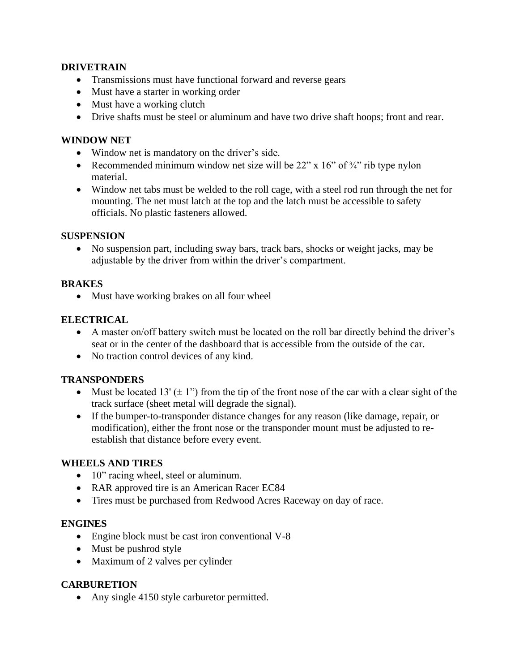### **DRIVETRAIN**

- Transmissions must have functional forward and reverse gears
- Must have a starter in working order
- Must have a working clutch
- Drive shafts must be steel or aluminum and have two drive shaft hoops; front and rear.

### **WINDOW NET**

- Window net is mandatory on the driver's side.
- Recommended minimum window net size will be  $22^{\prime\prime} \times 16^{\prime\prime}$  of  $\frac{3}{4}^{\prime\prime}$  rib type nylon material.
- Window net tabs must be welded to the roll cage, with a steel rod run through the net for mounting. The net must latch at the top and the latch must be accessible to safety officials. No plastic fasteners allowed.

#### **SUSPENSION**

• No suspension part, including sway bars, track bars, shocks or weight jacks, may be adjustable by the driver from within the driver's compartment.

#### **BRAKES**

• Must have working brakes on all four wheel

#### **ELECTRICAL**

- A master on/off battery switch must be located on the roll bar directly behind the driver's seat or in the center of the dashboard that is accessible from the outside of the car.
- No traction control devices of any kind.

# **TRANSPONDERS**

- Must be located 13' ( $\pm$  1") from the tip of the front nose of the car with a clear sight of the track surface (sheet metal will degrade the signal).
- If the bumper-to-transponder distance changes for any reason (like damage, repair, or modification), either the front nose or the transponder mount must be adjusted to reestablish that distance before every event.

#### **WHEELS AND TIRES**

- 10" racing wheel, steel or aluminum.
- RAR approved tire is an American Racer EC84
- Tires must be purchased from Redwood Acres Raceway on day of race.

#### **ENGINES**

- Engine block must be cast iron conventional V-8
- Must be pushrod style
- Maximum of 2 valves per cylinder

# **CARBURETION**

• Any single 4150 style carburetor permitted.